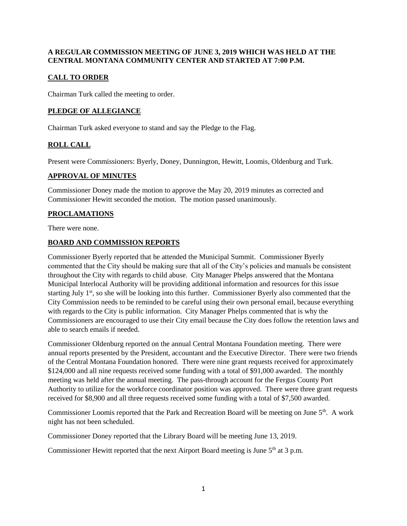### **A REGULAR COMMISSION MEETING OF JUNE 3, 2019 WHICH WAS HELD AT THE CENTRAL MONTANA COMMUNITY CENTER AND STARTED AT 7:00 P.M.**

# **CALL TO ORDER**

Chairman Turk called the meeting to order.

## **PLEDGE OF ALLEGIANCE**

Chairman Turk asked everyone to stand and say the Pledge to the Flag.

## **ROLL CALL**

Present were Commissioners: Byerly, Doney, Dunnington, Hewitt, Loomis, Oldenburg and Turk.

### **APPROVAL OF MINUTES**

Commissioner Doney made the motion to approve the May 20, 2019 minutes as corrected and Commissioner Hewitt seconded the motion. The motion passed unanimously.

# **PROCLAMATIONS**

There were none.

### **BOARD AND COMMISSION REPORTS**

Commissioner Byerly reported that he attended the Municipal Summit. Commissioner Byerly commented that the City should be making sure that all of the City's policies and manuals be consistent throughout the City with regards to child abuse. City Manager Phelps answered that the Montana Municipal Interlocal Authority will be providing additional information and resources for this issue starting July 1<sup>st</sup>, so she will be looking into this further. Commissioner Byerly also commented that the City Commission needs to be reminded to be careful using their own personal email, because everything with regards to the City is public information. City Manager Phelps commented that is why the Commissioners are encouraged to use their City email because the City does follow the retention laws and able to search emails if needed.

Commissioner Oldenburg reported on the annual Central Montana Foundation meeting. There were annual reports presented by the President, accountant and the Executive Director. There were two friends of the Central Montana Foundation honored. There were nine grant requests received for approximately \$124,000 and all nine requests received some funding with a total of \$91,000 awarded. The monthly meeting was held after the annual meeting. The pass-through account for the Fergus County Port Authority to utilize for the workforce coordinator position was approved. There were three grant requests received for \$8,900 and all three requests received some funding with a total of \$7,500 awarded.

Commissioner Loomis reported that the Park and Recreation Board will be meeting on June 5<sup>th</sup>. A work night has not been scheduled.

Commissioner Doney reported that the Library Board will be meeting June 13, 2019.

Commissioner Hewitt reported that the next Airport Board meeting is June  $5<sup>th</sup>$  at 3 p.m.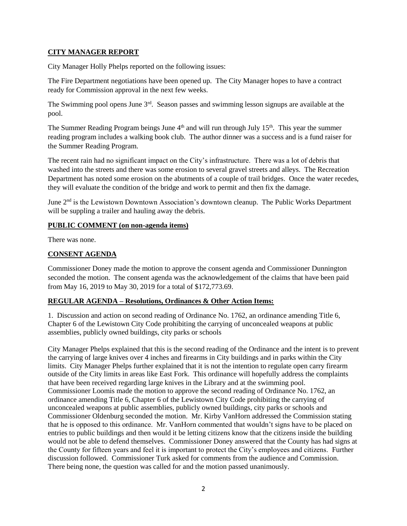#### **CITY MANAGER REPORT**

City Manager Holly Phelps reported on the following issues:

The Fire Department negotiations have been opened up. The City Manager hopes to have a contract ready for Commission approval in the next few weeks.

The Swimming pool opens June 3<sup>rd</sup>. Season passes and swimming lesson signups are available at the pool.

The Summer Reading Program beings June 4<sup>th</sup> and will run through July 15<sup>th</sup>. This year the summer reading program includes a walking book club. The author dinner was a success and is a fund raiser for the Summer Reading Program.

The recent rain had no significant impact on the City's infrastructure. There was a lot of debris that washed into the streets and there was some erosion to several gravel streets and alleys. The Recreation Department has noted some erosion on the abutments of a couple of trail bridges. Once the water recedes, they will evaluate the condition of the bridge and work to permit and then fix the damage.

June 2<sup>nd</sup> is the Lewistown Downtown Association's downtown cleanup. The Public Works Department will be suppling a trailer and hauling away the debris.

### **PUBLIC COMMENT (on non-agenda items)**

There was none.

# **CONSENT AGENDA**

Commissioner Doney made the motion to approve the consent agenda and Commissioner Dunnington seconded the motion. The consent agenda was the acknowledgement of the claims that have been paid from May 16, 2019 to May 30, 2019 for a total of \$172,773.69.

## **REGULAR AGENDA – Resolutions, Ordinances & Other Action Items:**

1. Discussion and action on second reading of Ordinance No. 1762, an ordinance amending Title 6, Chapter 6 of the Lewistown City Code prohibiting the carrying of unconcealed weapons at public assemblies, publicly owned buildings, city parks or schools

City Manager Phelps explained that this is the second reading of the Ordinance and the intent is to prevent the carrying of large knives over 4 inches and firearms in City buildings and in parks within the City limits. City Manager Phelps further explained that it is not the intention to regulate open carry firearm outside of the City limits in areas like East Fork. This ordinance will hopefully address the complaints that have been received regarding large knives in the Library and at the swimming pool. Commissioner Loomis made the motion to approve the second reading of Ordinance No. 1762, an ordinance amending Title 6, Chapter 6 of the Lewistown City Code prohibiting the carrying of unconcealed weapons at public assemblies, publicly owned buildings, city parks or schools and Commissioner Oldenburg seconded the motion. Mr. Kirby VanHorn addressed the Commission stating that he is opposed to this ordinance. Mr. VanHorn commented that wouldn't signs have to be placed on entries to public buildings and then would it be letting citizens know that the citizens inside the building would not be able to defend themselves. Commissioner Doney answered that the County has had signs at the County for fifteen years and feel it is important to protect the City's employees and citizens. Further discussion followed. Commissioner Turk asked for comments from the audience and Commission. There being none, the question was called for and the motion passed unanimously.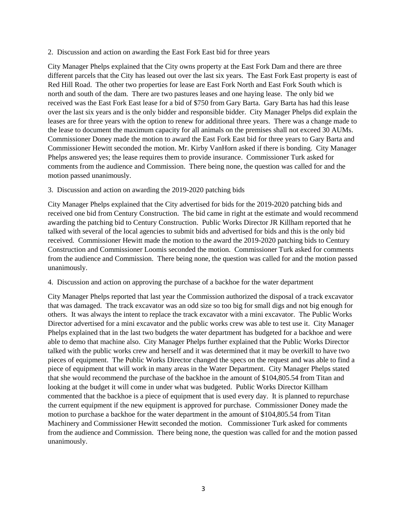2. Discussion and action on awarding the East Fork East bid for three years

City Manager Phelps explained that the City owns property at the East Fork Dam and there are three different parcels that the City has leased out over the last six years. The East Fork East property is east of Red Hill Road. The other two properties for lease are East Fork North and East Fork South which is north and south of the dam. There are two pastures leases and one haying lease. The only bid we received was the East Fork East lease for a bid of \$750 from Gary Barta. Gary Barta has had this lease over the last six years and is the only bidder and responsible bidder. City Manager Phelps did explain the leases are for three years with the option to renew for additional three years. There was a change made to the lease to document the maximum capacity for all animals on the premises shall not exceed 30 AUMs. Commissioner Doney made the motion to award the East Fork East bid for three years to Gary Barta and Commissioner Hewitt seconded the motion. Mr. Kirby VanHorn asked if there is bonding. City Manager Phelps answered yes; the lease requires them to provide insurance. Commissioner Turk asked for comments from the audience and Commission. There being none, the question was called for and the motion passed unanimously.

3. Discussion and action on awarding the 2019-2020 patching bids

City Manager Phelps explained that the City advertised for bids for the 2019-2020 patching bids and received one bid from Century Construction. The bid came in right at the estimate and would recommend awarding the patching bid to Century Construction. Public Works Director JR Killham reported that he talked with several of the local agencies to submit bids and advertised for bids and this is the only bid received. Commissioner Hewitt made the motion to the award the 2019-2020 patching bids to Century Construction and Commissioner Loomis seconded the motion. Commissioner Turk asked for comments from the audience and Commission. There being none, the question was called for and the motion passed unanimously.

4. Discussion and action on approving the purchase of a backhoe for the water department

City Manager Phelps reported that last year the Commission authorized the disposal of a track excavator that was damaged. The track excavator was an odd size so too big for small digs and not big enough for others. It was always the intent to replace the track excavator with a mini excavator. The Public Works Director advertised for a mini excavator and the public works crew was able to test use it. City Manager Phelps explained that in the last two budgets the water department has budgeted for a backhoe and were able to demo that machine also. City Manager Phelps further explained that the Public Works Director talked with the public works crew and herself and it was determined that it may be overkill to have two pieces of equipment. The Public Works Director changed the specs on the request and was able to find a piece of equipment that will work in many areas in the Water Department. City Manager Phelps stated that she would recommend the purchase of the backhoe in the amount of \$104,805.54 from Titan and looking at the budget it will come in under what was budgeted. Public Works Director Killham commented that the backhoe is a piece of equipment that is used every day. It is planned to repurchase the current equipment if the new equipment is approved for purchase. Commissioner Doney made the motion to purchase a backhoe for the water department in the amount of \$104,805.54 from Titan Machinery and Commissioner Hewitt seconded the motion. Commissioner Turk asked for comments from the audience and Commission. There being none, the question was called for and the motion passed unanimously.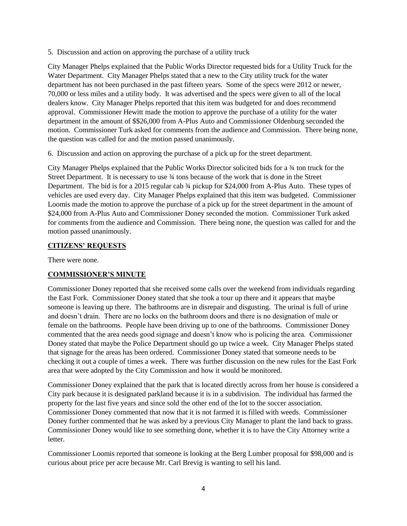5. Discussion and action on approving the purchase of a utility truck

City Manager Phelps explained that the Public Works Director requested bids for a Utility Truck for the Water Department. City Manager Phelps stated that a new to the City utility truck for the water department has not been purchased in the past fifteen years. Some of the specs were 2012 or newer, 70,000 or less miles and a utility body. It was advertised and the specs were given to all of the local dealers know. City Manager Phelps reported that this item was budgeted for and does recommend approval. Commissioner Hewitt made the motion to approve the purchase of a utility for the water department in the amount of \$\$26,000 from A-Plus Auto and Commissioner Oldenburg seconded the motion. Commissioner Turk asked for comments from the audience and Commission. There being none, the question was called for and the motion passed unanimously.

6. Discussion and action on approving the purchase of a pick up for the street department.

City Manager Phelps explained that the Public Works Director solicited bids for a ¾ ton truck for the Street Department. It is necessary to use ¾ tons because of the work that is done in the Street Department. The bid is for a 2015 regular cab  $\frac{3}{4}$  pickup for \$24,000 from A-Plus Auto. These types of vehicles are used every day. City Manager Phelps explained that this item was budgeted. Commissioner Loomis made the motion to approve the purchase of a pick up for the street department in the amount of \$24,000 from A-Plus Auto and Commissioner Doney seconded the motion. Commissioner Turk asked for comments from the audience and Commission. There being none, the question was called for and the motion passed unanimously.

#### **CITIZENS' REQUESTS**

There were none.

### **COMMISSIONER'S MINUTE**

Commissioner Doney reported that she received some calls over the weekend from individuals regarding the East Fork. Commissioner Doney stated that she took a tour up there and it appears that maybe someone is leaving up there. The bathrooms are in disrepair and disgusting. The urinal is full of urine and doesn't drain. There are no locks on the bathroom doors and there is no designation of male or female on the bathrooms. People have been driving up to one of the bathrooms. Commissioner Doney commented that the area needs good signage and doesn't know who is policing the area. Commissioner Doney stated that maybe the Police Department should go up twice a week. City Manager Phelps stated that signage for the areas has been ordered. Commissioner Doney stated that someone needs to be checking it out a couple of times a week. There was further discussion on the new rules for the East Fork area that were adopted by the City Commission and how it would be monitored.

Commissioner Doney explained that the park that is located directly across from her house is considered a City park because it is designated parkland because it is in a subdivision. The individual has farmed the property for the last five years and since sold the other end of the lot to the soccer association. Commissioner Doney commented that now that it is not farmed it is filled with weeds. Commissioner Doney further commented that he was asked by a previous City Manager to plant the land back to grass. Commissioner Doney would like to see something done, whether it is to have the City Attorney write a letter.

Commissioner Loomis reported that someone is looking at the Berg Lumber proposal for \$98,000 and is curious about price per acre because Mr. Carl Brevig is wanting to sell his land.